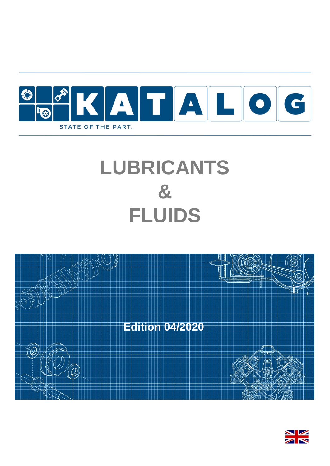

# **LUBRICANTS & FLUIDS**



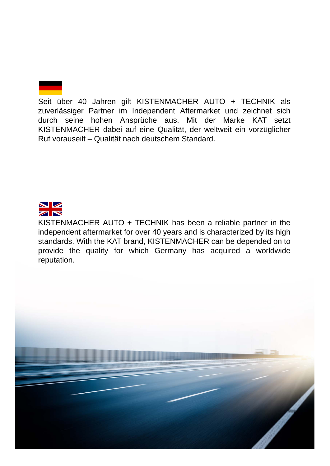

Seit über 40 Jahren gilt KISTENMACHER AUTO + TECHNIK als zuverlässiger Partner im Independent Aftermarket und zeichnet sich durch seine hohen Ansprüche aus. Mit der Marke KAT setzt KISTENMACHER dabei auf eine Qualität, der weltweit ein vorzüglicher Ruf vorauseilt – Qualität nach deutschem Standard.



KISTENMACHER AUTO + TECHNIK has been a reliable partner in the independent aftermarket for over 40 years and is characterized by its high standards. With the KAT brand, KISTENMACHER can be depended on to provide the quality for which Germany has acquired a worldwide reputation.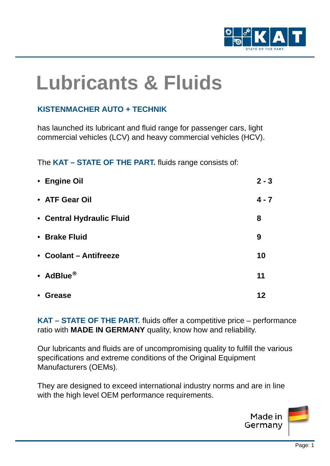

# **Lubricants & Fluids**

#### **KISTENMACHER AUTO + TECHNIK**

has launched its lubricant and fluid range for passenger cars, light commercial vehicles (LCV) and heavy commercial vehicles (HCV).

The **KAT – STATE OF THE PART.** fluids range consists of:

| • Engine Oil               | $2 - 3$ |
|----------------------------|---------|
| • ATF Gear Oil             | $4 - 7$ |
| • Central Hydraulic Fluid  | 8       |
| • Brake Fluid              | 9       |
| • Coolant – Antifreeze     | 10      |
| • AdBlue®                  | 11      |
| <b>Grease</b><br>$\bullet$ | 12      |

**KAT – STATE OF THE PART.** fluids offer a competitive price – performance ratio with **MADE IN GERMANY** quality, know how and reliability.

Our lubricants and fluids are of uncompromising quality to fulfill the various specifications and extreme conditions of the Original Equipment Manufacturers (OEMs).

They are designed to exceed international industry norms and are in line with the high level OEM performance requirements.

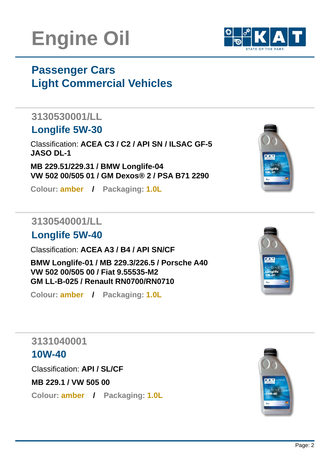# **Engine Oil**

# **Passenger Cars Light Commercial Vehicles**

# **3130530001/LL**

# **Longlife 5W-30**

Classification: **ACEA C3 / C2 / API SN / ILSAC GF-5 JASO DL-1**

**MB 229.51/229.31 / BMW Longlife-04 VW 502 00/505 01 / GM Dexos® 2 / PSA B71 2290**

**Colour: amber / Packaging: 1.0L**

## **3130540001/LL**

# **Longlife 5W-40**

Classification: **ACEA A3 / B4 / API SN/CF**

**BMW Longlife-01 / MB 229.3/226.5 / Porsche A40 VW 502 00/505 00 / Fiat 9.55535-M2 GM LL-B-025 / Renault RN0700/RN0710**

**Colour: amber / Packaging: 1.0L**

## **3131040001**

## **10W-40**

Classification: **API / SL/CF**

**MB 229.1 / VW 505 00**

**Colour: amber / Packaging: 1.0L**







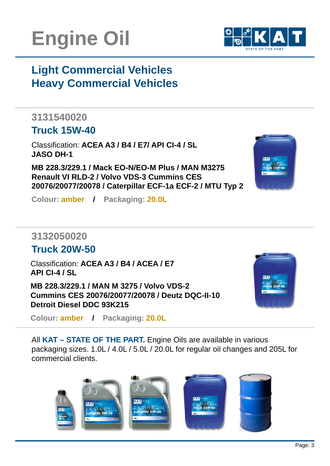



# **Light Commercial Vehicles Heavy Commercial Vehicles**

# **3131540020**

### **Truck 15W-40**

Classification: **ACEA A3 / B4 / E7/ API CI-4 / SL JASO DH-1**

**MB 228.3/229.1 / Mack EO-N/EO-M Plus / MAN M3275 Renault VI RLD-2 / Volvo VDS-3 Cummins CES 20076/20077/20078 / Caterpillar ECF-1a ECF-2 / MTU Typ 2**



### **3132050020**

#### **Truck 20W-50**

Classification: **ACEA A3 / B4 / ACEA / E7 API CI-4 / SL**

**MB 228.3/229.1 / MAN M 3275 / Volvo VDS-2 Cummins CES 20076/20077/20078 / Deutz DQC-II-10 Detroit Diesel DDC 93K215**

**Colour: amber / Packaging: 20.0L**



All **KAT – STATE OF THE PART.** Engine Oils are available in various packaging sizes. 1.0L / 4.0L / 5.0L / 20.0L for regular oil changes and 205L for commercial clients.

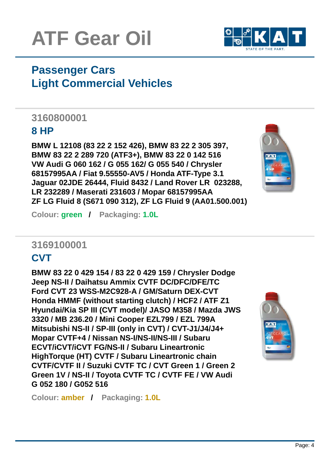



# **Passenger Cars Light Commercial Vehicles**

## **3160800001**

#### **8 HP**

**BMW L 12108 (83 22 2 152 426), BMW 83 22 2 305 397, BMW 83 22 2 289 720 (ATF3+), BMW 83 22 0 142 516 VW Audi G 060 162 / G 055 162/ G 055 540 / Chrysler 68157995AA / Fiat 9.55550-AV5 / Honda ATF-Type 3.1 Jaguar 02JDE 26444, Fluid 8432 / Land Rover LR 023288, LR 232289 / Maserati 231603 / Mopar 68157995AA ZF LG Fluid 8 (S671 090 312), ZF LG Fluid 9 (AA01.500.001)**



**Colour: green / Packaging: 1.0L**

# **3169100001**

### **CVT**

**BMW 83 22 0 429 154 / 83 22 0 429 159 / Chrysler Dodge Jeep NS-II / Daihatsu Ammix CVTF DC/DFC/DFE/TC Ford CVT 23 WSS-M2C928-A / GM/Saturn DEX-CVT Honda HMMF (without starting clutch) / HCF2 / ATF Z1 Hyundai/Kia SP III (CVT model)/ JASO M358 / Mazda JWS 3320 / MB 236.20 / Mini Cooper EZL799 / EZL 799A Mitsubishi NS-II / SP-III (only in CVT) / CVT-J1/J4/J4+ Mopar CVTF+4 / Nissan NS-I/NS-II/NS-III / Subaru ECVT/iCVT/iCVT FG/NS-II / Subaru Lineartronic HighTorque (HT) CVTF / Subaru Lineartronic chain CVTF/CVTF II / Suzuki CVTF TC / CVT Green 1 / Green 2 Green 1V / NS-II / Toyota CVTF TC / CVTF FE / VW Audi G 052 180 / G052 516**



**Colour: amber / Packaging: 1.0L**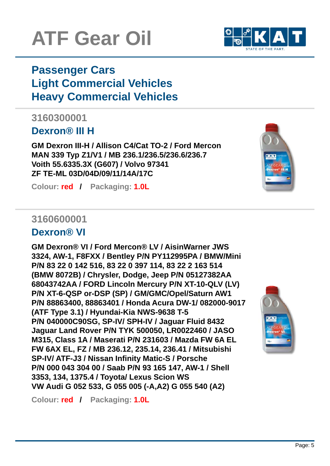# **ATF Gear Oil**

# **Passenger Cars Light Commercial Vehicles Heavy Commercial Vehicles**

## **3160300001**

### **Dexron® III H**

**GM Dexron III-H / Allison C4/Cat TO-2 / Ford Mercon MAN 339 Typ Z1/V1 / MB 236.1/236.5/236.6/236.7 Voith 55.6335.3X (G607) / Volvo 97341 ZF TE-ML 03D/04D/09/11/14A/17C**

**Colour: red / Packaging: 1.0L**

### **3160600001**

### **Dexron® VI**

**GM Dexron® VI / Ford Mercon® LV / AisinWarner JWS 3324, AW-1, F8FXX / Bentley P/N PY112995PA / BMW/Mini P/N 83 22 0 142 516, 83 22 0 397 114, 83 22 2 163 514 (BMW 8072B) / Chrysler, Dodge, Jeep P/N 05127382AA 68043742AA / FORD Lincoln Mercury P/N XT-10-QLV (LV) P/N XT-6-QSP or-DSP (SP) / GM/GMC/Opel/Saturn AW1 P/N 88863400, 88863401 / Honda Acura DW-1/ 082000-9017 (ATF Type 3.1) / Hyundai-Kia NWS-9638 T-5 P/N 040000C90SG, SP-IV/ SPH-IV / Jaguar Fluid 8432 Jaguar Land Rover P/N TYK 500050, LR0022460 / JASO M315, Class 1A / Maserati P/N 231603 / Mazda FW 6A EL FW 6AX EL, FZ / MB 236.12, 235.14, 236.41 / Mitsubishi SP-IV/ ATF-J3 / Nissan Infinity Matic-S / Porsche P/N 000 043 304 00 / Saab P/N 93 165 147, AW-1 / Shell 3353, 134, 1375.4 / Toyota/ Lexus Scion WS VW Audi G 052 533, G 055 005 (-A,A2) G 055 540 (A2)**

**Colour: red / Packaging: 1.0L**





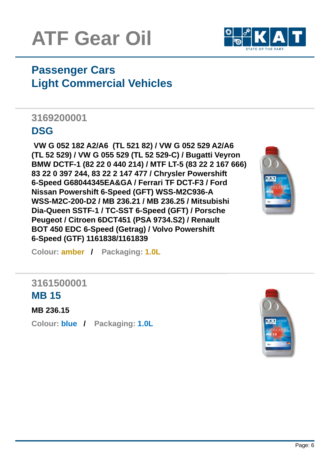



# **Passenger Cars Light Commercial Vehicles**

# **3169200001**

### **DSG**

**VW G 052 182 A2/A6 (TL 521 82) / VW G 052 529 A2/A6 (TL 52 529) / VW G 055 529 (TL 52 529-C) / Bugatti Veyron BMW DCTF-1 (82 22 0 440 214) / MTF LT-5 (83 22 2 167 666) 83 22 0 397 244, 83 22 2 147 477 / Chrysler Powershift 6-Speed G68044345EA&GA / Ferrari TF DCT-F3 / Ford Nissan Powershift 6-Speed (GFT) WSS-M2C936-A WSS-M2C-200-D2 / MB 236.21 / MB 236.25 / Mitsubishi Dia-Queen SSTF-1 / TC-SST 6-Speed (GFT) / Porsche Peugeot / Citroen 6DCT451 (PSA 9734.S2) / Renault BOT 450 EDC 6-Speed (Getrag) / Volvo Powershift 6-Speed (GTF) 1161838/1161839**



**Colour: amber / Packaging: 1.0L**

#### **3161500001 MB 15**

**MB 236.15**

**Colour: blue / Packaging: 1.0L**

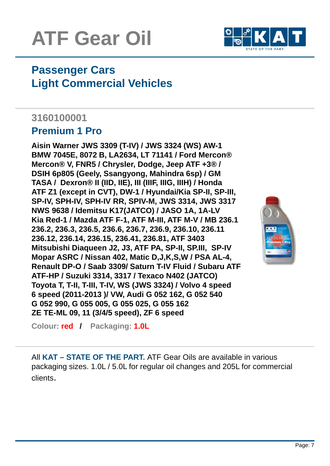# **ATF Gear Oil**



# **Passenger Cars Light Commercial Vehicles**

## **3160100001**

#### **Premium 1 Pro**

**Aisin Warner JWS 3309 (T-IV) / JWS 3324 (WS) AW-1 BMW 7045E, 8072 B, LA2634, LT 71141 / Ford Mercon® Mercon® V, FNR5 / Chrysler, Dodge, Jeep ATF +3® / DSIH 6p805 (Geely, Ssangyong, Mahindra 6sp) / GM TASA / Dexron® II (IID, IIE), III (IIIF, IIIG, IIIH) / Honda ATF Z1 (except in CVT), DW-1 / Hyundai/Kia SP-II, SP-III, SP-IV, SPH-IV, SPH-IV RR, SPIV-M, JWS 3314, JWS 3317 NWS 9638 / Idemitsu K17(JATCO) / JASO 1A, 1A-LV Kia Red-1 / Mazda ATF F-1, ATF M-III, ATF M-V / MB 236.1 236.2, 236.3, 236.5, 236.6, 236.7, 236.9, 236.10, 236.11 236.12, 236.14, 236.15, 236.41, 236.81, ATF 3403 Mitsubishi Diaqueen J2, J3, ATF PA, SP-II, SP.III, SP-IV Mopar ASRC / Nissan 402, Matic D,J,K,S,W / PSA AL-4, Renault DP-O / Saab 3309/ Saturn T-IV Fluid / Subaru ATF ATF-HP / Suzuki 3314, 3317 / Texaco N402 (JATCO) Toyota T, T-II, T-III, T-IV, WS (JWS 3324) / Volvo 4 speed 6 speed (2011-2013 )/ VW, Audi G 052 162, G 052 540 G 052 990, G 055 005, G 055 025, G 055 162 ZE TE-ML 09, 11 (3/4/5 speed), ZF 6 speed**



**Colour: red / Packaging: 1.0L**

All **KAT – STATE OF THE PART.** ATF Gear Oils are available in various packaging sizes. 1.0L / 5.0L for regular oil changes and 205L for commercial clients.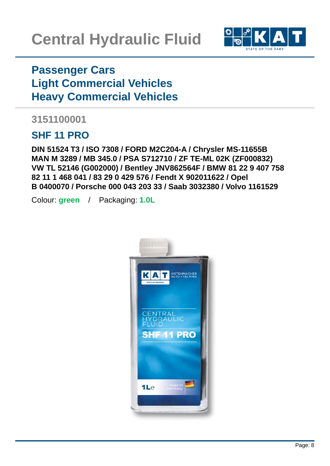

# **Passenger Cars Light Commercial Vehicles Heavy Commercial Vehicles**

### **3151100001**

## **SHF 11 PRO**

**DIN 51524 T3 / ISO 7308 / FORD M2C204-A / Chrysler MS-11655B MAN M 3289 / MB 345.0 / PSA S712710 / ZF TE-ML 02K (ZF000832) VW TL 52146 (G002000) / Bentley JNV862564F / BMW 81 22 9 407 758 82 11 1 468 041 / 83 29 0 429 576 / Fendt X 902011622 / Opel B 0400070 / Porsche 000 043 203 33 / Saab 3032380 / Volvo 1161529**

Colour: **green** / Packaging: **1.0L**

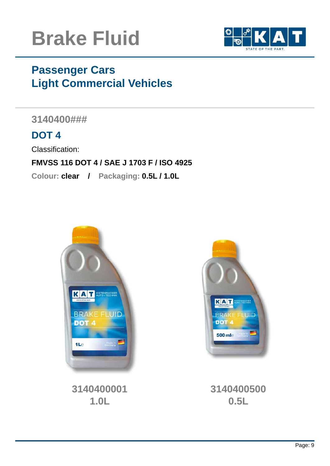



# **Passenger Cars Light Commercial Vehicles**

**3140400###** 

## **DOT 4**

Classification:

#### **FMVSS 116 DOT 4 / SAE J 1703 F / ISO 4925**

**Colour: clear / Packaging: 0.5L / 1.0L**



**3140400001 1.0L** 



**3140400500 0.5L**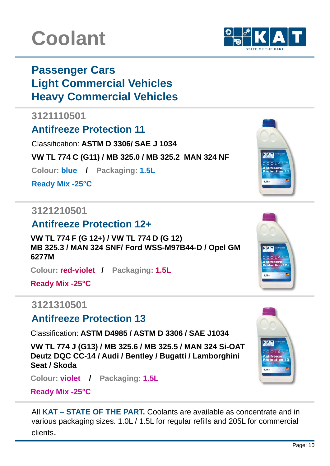# **Coolant**

# **Passenger Cars Light Commercial Vehicles Heavy Commercial Vehicles**

#### **3121110501**

## **Antifreeze Protection 11**

Classification: **ASTM D 3306/ SAE J 1034**

**VW TL 774 C (G11) / MB 325.0 / MB 325.2 MAN 324 NF**

**Colour: blue / Packaging: 1.5L**

**Ready Mix -25°C**

### **3121210501**

## **Antifreeze Protection 12+**

**VW TL 774 F (G 12+) / VW TL 774 D (G 12) MB 325.3 / MAN 324 SNF/ Ford WSS-M97B44-D / Opel GM 6277M**

**Colour: red-violet / Packaging: 1.5L**

**Ready Mix -25°C**

### **3121310501**

### **Antifreeze Protection 13**

Classification: **ASTM D4985 / ASTM D 3306 / SAE J1034**

**VW TL 774 J (G13) / MB 325.6 / MB 325.5 / MAN 324 Si-OAT Deutz DQC CC-14 / Audi / Bentley / Bugatti / Lamborghini Seat / Skoda**

**Colour: violet / Packaging: 1.5L**

**Ready Mix -25°C**

All **KAT – STATE OF THE PART.** Coolants are available as concentrate and in various packaging sizes. 1.0L / 1.5L for regular refills and 205L for commercial clients.







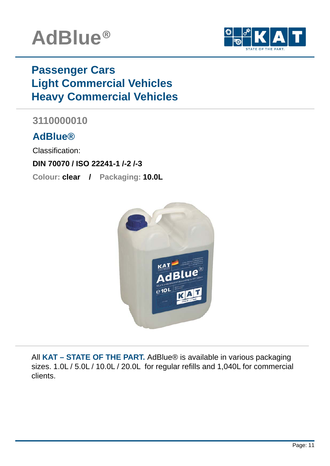



# **Passenger Cars Light Commercial Vehicles Heavy Commercial Vehicles**

## **3110000010**

### **AdBlue®**

Classification:

#### **DIN 70070 / ISO 22241-1 /-2 /-3**

**Colour: clear / Packaging: 10.0L**



All **KAT – STATE OF THE PART.** AdBlue® is available in various packaging sizes. 1.0L / 5.0L / 10.0L / 20.0L for regular refills and 1,040L for commercial clients.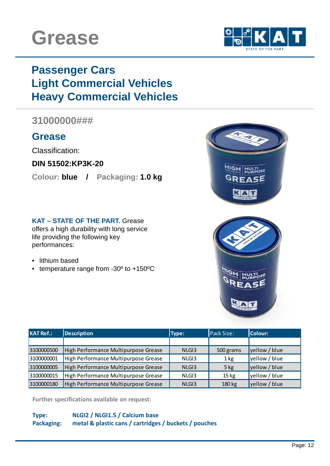



# **Passenger Cars Light Commercial Vehicles Heavy Commercial Vehicles**

#### **31000000###**

#### **Grease**

Classification:

**DIN 51502:KP3K-20**

**Colour: blue / Packaging: 1.0 kg** 

#### **KAT – STATE OF THE PART.** Grease

offers a high durability with long service life providing the following key performances:

- lithium based
- temperature range from -30º to +150ºC



| <b>KAT Ref.:</b> | <b>Description</b>                   | Type:             | Pack Size:       | Colour:       |
|------------------|--------------------------------------|-------------------|------------------|---------------|
|                  |                                      |                   |                  |               |
| 3100000500       | High Performance Multipurpose Grease | NLG <sub>13</sub> | 500 grams        | yellow / blue |
| 3100000001       | High Performance Multipurpose Grease | NLG <sub>13</sub> | 1 <sub>kg</sub>  | yellow / blue |
| 3100000005       | High Performance Multipurpose Grease | NLG <sub>13</sub> | $5$ kg           | yellow / blue |
| 3100000015       | High Performance Multipurpose Grease | NLGI3             | 15 <sub>kg</sub> | yellow / blue |
| 3100000180       | High Performance Multipurpose Grease | NLG <sub>13</sub> | 180 kg           | yellow / blue |

**Further specifications available on request:**

#### **Type: NLGI2 / NLGI1.5 / Calcium base Packaging: metal & plastic cans / cartridges / buckets / pouches**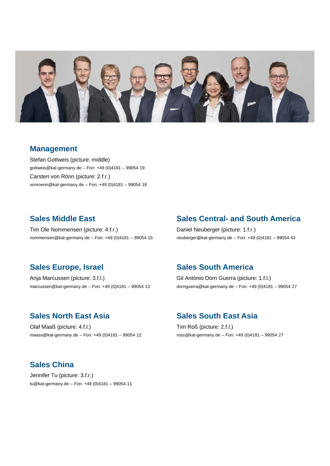

#### **Management**

Stefan Gottweis (picture: middle) gottweis@kat-germany.de – Fon: +49 (0)4181 – 99054 19 Carsten von Rönn (picture: 2.f.r.) vonroenn@kat-germany.de – Fon: +49 (0)4181 – 99054 18

#### **Sales Middle East**

Tim Ole Nommensen (picture: 4.f.r.) nommensen@kat-germany.de – Fon: +49 (0)4181 – 99054 15

#### **Sales Europe, Israel**

Anja Marcussen (picture: 3.f.l.) marcussen@kat-germany.de – Fon: +49 (0)4181 – 99054 13

#### **Sales North East Asia**

Olaf Maaß (picture: 4.f.l.) maass@kat-germany.de – Fon: +49 (0)4181 – 99054 12

#### **Sales Central- and South America**

Daniel Neuberger (picture: 1.f.r.) neuberger@kat-germany.de – Fon: +49 (0)4181 – 99054 43

#### **Sales South America**

Gil António Dorn Guerra (picture: 1.f.l.) dornguerra@kat-germany.de – Fon: +49 (0)4181 – 99054 27

#### **Sales South East Asia**

Tim Roß (picture: 2.f.l.) ross@kat-germany.de – Fon: +49 (0)4181 – 99054 27

#### **Sales China**

Jennifer Tu (picture: 3.f.r.) tu@kat-germany.de – Fon: +49 (0)4181 – 99054 11